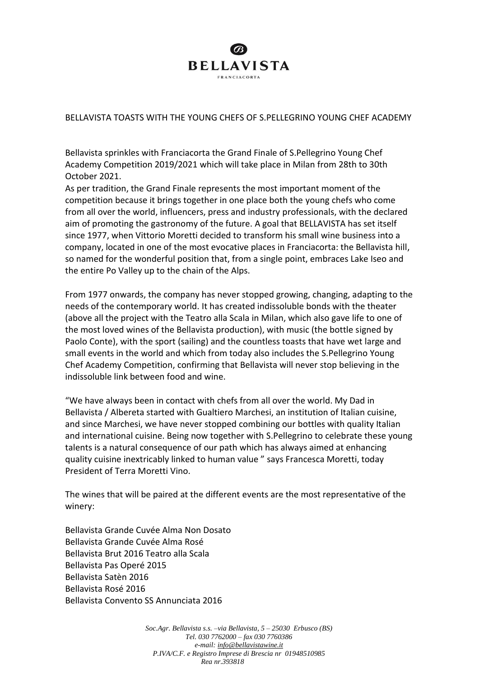

## BELLAVISTA TOASTS WITH THE YOUNG CHEFS OF S.PELLEGRINO YOUNG CHEF ACADEMY

Bellavista sprinkles with Franciacorta the Grand Finale of S.Pellegrino Young Chef Academy Competition 2019/2021 which will take place in Milan from 28th to 30th October 2021.

As per tradition, the Grand Finale represents the most important moment of the competition because it brings together in one place both the young chefs who come from all over the world, influencers, press and industry professionals, with the declared aim of promoting the gastronomy of the future. A goal that BELLAVISTA has set itself since 1977, when Vittorio Moretti decided to transform his small wine business into a company, located in one of the most evocative places in Franciacorta: the Bellavista hill, so named for the wonderful position that, from a single point, embraces Lake Iseo and the entire Po Valley up to the chain of the Alps.

From 1977 onwards, the company has never stopped growing, changing, adapting to the needs of the contemporary world. It has created indissoluble bonds with the theater (above all the project with the Teatro alla Scala in Milan, which also gave life to one of the most loved wines of the Bellavista production), with music (the bottle signed by Paolo Conte), with the sport (sailing) and the countless toasts that have wet large and small events in the world and which from today also includes the S.Pellegrino Young Chef Academy Competition, confirming that Bellavista will never stop believing in the indissoluble link between food and wine.

"We have always been in contact with chefs from all over the world. My Dad in Bellavista / Albereta started with Gualtiero Marchesi, an institution of Italian cuisine, and since Marchesi, we have never stopped combining our bottles with quality Italian and international cuisine. Being now together with S.Pellegrino to celebrate these young talents is a natural consequence of our path which has always aimed at enhancing quality cuisine inextricably linked to human value " says Francesca Moretti, today President of Terra Moretti Vino.

The wines that will be paired at the different events are the most representative of the winery:

Bellavista Grande Cuvée Alma Non Dosato Bellavista Grande Cuvée Alma Rosé Bellavista Brut 2016 Teatro alla Scala Bellavista Pas Operé 2015 Bellavista Satèn 2016 Bellavista Rosé 2016 Bellavista Convento SS Annunciata 2016

> *Soc.Agr. Bellavista s.s. –via Bellavista, 5 – 25030 Erbusco (BS) Tel. 030 7762000 – fax 030 7760386 e-mail[: info@bellavistawine.it](mailto:info@bellavistasrl.it) P.IVA/C.F. e Registro Imprese di Brescia nr 01948510985 Rea nr.393818*